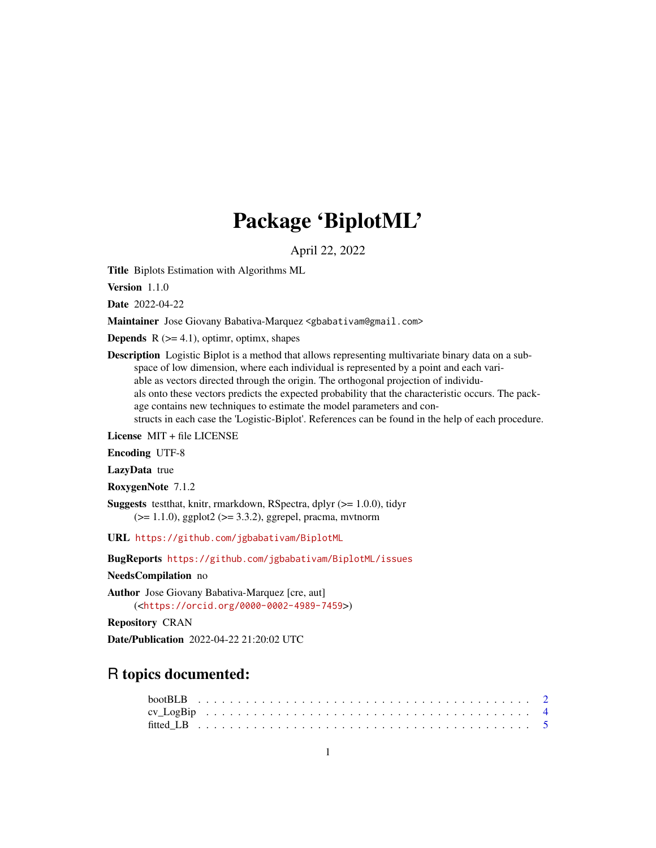# Package 'BiplotML'

April 22, 2022

Title Biplots Estimation with Algorithms ML

Version 1.1.0

Date 2022-04-22

Maintainer Jose Giovany Babativa-Marquez <gbabativam@gmail.com>

**Depends**  $R$  ( $>= 4.1$ ), optime, optime, shapes

Description Logistic Biplot is a method that allows representing multivariate binary data on a subspace of low dimension, where each individual is represented by a point and each variable as vectors directed through the origin. The orthogonal projection of individuals onto these vectors predicts the expected probability that the characteristic occurs. The package contains new techniques to estimate the model parameters and constructs in each case the 'Logistic-Biplot'. References can be found in the help of each procedure.

License MIT + file LICENSE

Encoding UTF-8

LazyData true

RoxygenNote 7.1.2

**Suggests** testthat, knitr, rmarkdown, RSpectra, dplyr  $(>= 1.0.0)$ , tidyr  $(>= 1.1.0)$ , ggplot2  $(>= 3.3.2)$ , ggrepel, pracma, mvtnorm

URL <https://github.com/jgbabativam/BiplotML>

BugReports <https://github.com/jgbabativam/BiplotML/issues>

NeedsCompilation no

Author Jose Giovany Babativa-Marquez [cre, aut] (<<https://orcid.org/0000-0002-4989-7459>>)

Repository CRAN

Date/Publication 2022-04-22 21:20:02 UTC

## R topics documented: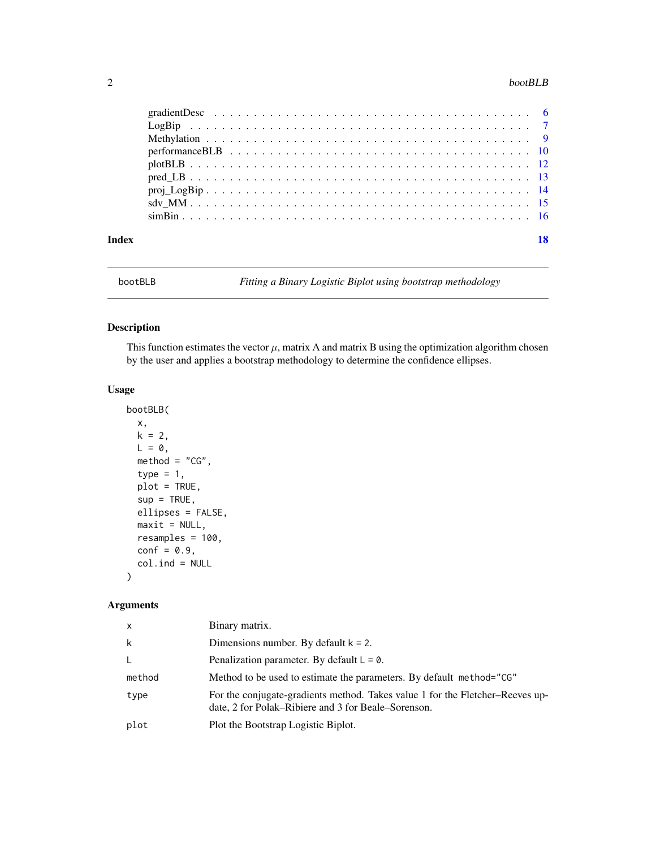#### <span id="page-1-0"></span>2 bootBLB

| Index |  |
|-------|--|
|       |  |
|       |  |
|       |  |
|       |  |
|       |  |
|       |  |
|       |  |
|       |  |
|       |  |

<span id="page-1-1"></span>bootBLB *Fitting a Binary Logistic Biplot using bootstrap methodology*

#### Description

This function estimates the vector  $\mu$ , matrix A and matrix B using the optimization algorithm chosen by the user and applies a bootstrap methodology to determine the confidence ellipses.

#### Usage

```
bootBLB(
 x,
 k = 2,L = 0,
 method = "CG",type = 1,
 plot = TRUE,
  sup = TRUE,ellipses = FALSE,
 maxit = NULL,resamples = 100,
  conf = 0.9,
  col.int = NULL\mathcal{L}
```
## Arguments

| $\mathsf{x}$ | Binary matrix.                                                                                                                       |
|--------------|--------------------------------------------------------------------------------------------------------------------------------------|
| k            | Dimensions number. By default $k = 2$ .                                                                                              |
| L            | Penalization parameter. By default $L = 0$ .                                                                                         |
| method       | Method to be used to estimate the parameters. By default method="CG"                                                                 |
| type         | For the conjugate-gradients method. Takes value 1 for the Fletcher–Reeves up-<br>date, 2 for Polak–Ribiere and 3 for Beale–Sorenson. |
| plot         | Plot the Bootstrap Logistic Biplot.                                                                                                  |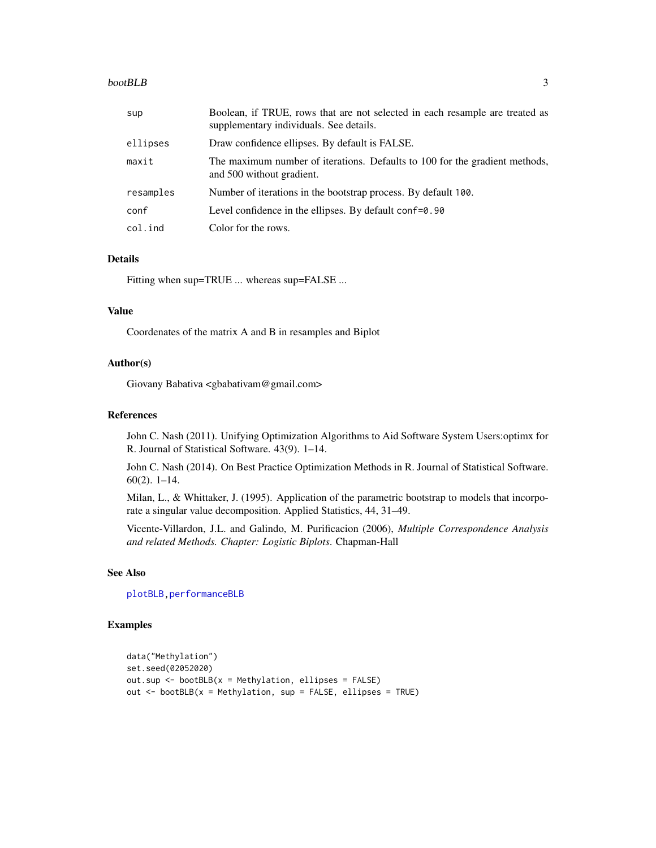#### <span id="page-2-0"></span>bootBLB 3

| sup       | Boolean, if TRUE, rows that are not selected in each resample are treated as<br>supplementary individuals. See details. |
|-----------|-------------------------------------------------------------------------------------------------------------------------|
| ellipses  | Draw confidence ellipses. By default is FALSE.                                                                          |
| maxit     | The maximum number of iterations. Defaults to 100 for the gradient methods,<br>and 500 without gradient.                |
| resamples | Number of iterations in the bootstrap process. By default 100.                                                          |
| conf      | Level confidence in the ellipses. By default conf=0.90                                                                  |
| col.ind   | Color for the rows.                                                                                                     |

#### Details

Fitting when sup=TRUE ... whereas sup=FALSE ...

#### Value

Coordenates of the matrix A and B in resamples and Biplot

#### Author(s)

Giovany Babativa <gbabativam@gmail.com>

#### References

John C. Nash (2011). Unifying Optimization Algorithms to Aid Software System Users:optimx for R. Journal of Statistical Software. 43(9). 1–14.

John C. Nash (2014). On Best Practice Optimization Methods in R. Journal of Statistical Software. 60(2). 1–14.

Milan, L., & Whittaker, J. (1995). Application of the parametric bootstrap to models that incorporate a singular value decomposition. Applied Statistics, 44, 31–49.

Vicente-Villardon, J.L. and Galindo, M. Purificacion (2006), *Multiple Correspondence Analysis and related Methods. Chapter: Logistic Biplots*. Chapman-Hall

#### See Also

[plotBLB](#page-11-1), performanceBLB

#### Examples

```
data("Methylation")
set.seed(02052020)
out.sup <- bootBLB(x = Methylation, ellipses = FALSE)
out \leq bootBLB(x = Methylation, sup = FALSE, ellipses = TRUE)
```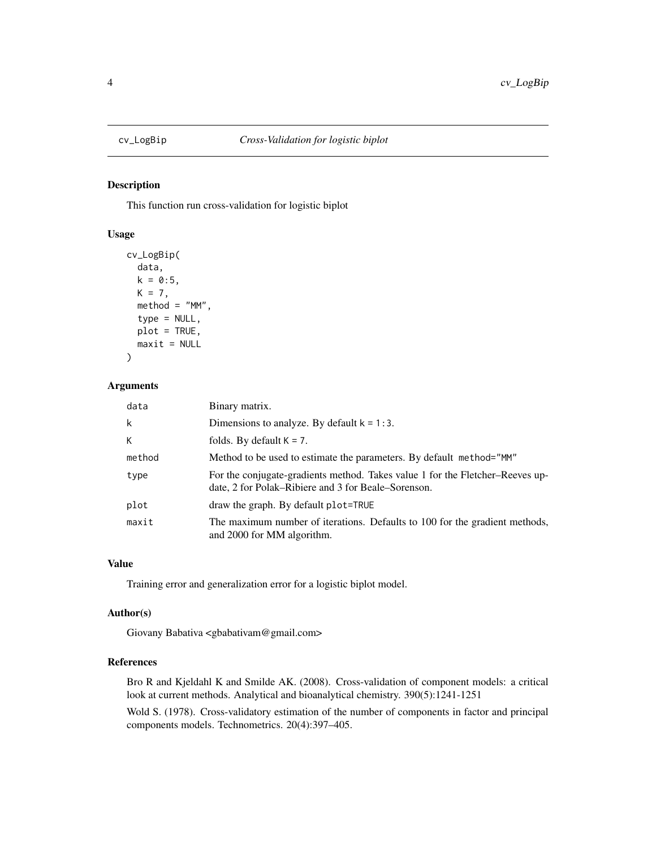<span id="page-3-1"></span><span id="page-3-0"></span>

#### Description

This function run cross-validation for logistic biplot

#### Usage

```
cv_LogBip(
 data,
 k = 0:5,
 K = 7,
 method = "MM",type = NULL,plot = TRUE,
 maxit = NULL)
```
#### Arguments

| data   | Binary matrix.                                                                                                                       |
|--------|--------------------------------------------------------------------------------------------------------------------------------------|
| k      | Dimensions to analyze. By default $k = 1:3$ .                                                                                        |
| K      | folds. By default $K = 7$ .                                                                                                          |
| method | Method to be used to estimate the parameters. By default method="MM"                                                                 |
| type   | For the conjugate-gradients method. Takes value 1 for the Fletcher–Reeves up-<br>date, 2 for Polak–Ribiere and 3 for Beale–Sorenson. |
| plot   | draw the graph. By default plot=TRUE                                                                                                 |
| maxit  | The maximum number of iterations. Defaults to 100 for the gradient methods,<br>and 2000 for MM algorithm.                            |

#### Value

Training error and generalization error for a logistic biplot model.

#### Author(s)

Giovany Babativa <gbabativam@gmail.com>

#### References

Bro R and Kjeldahl K and Smilde AK. (2008). Cross-validation of component models: a critical look at current methods. Analytical and bioanalytical chemistry. 390(5):1241-1251

Wold S. (1978). Cross-validatory estimation of the number of components in factor and principal components models. Technometrics. 20(4):397–405.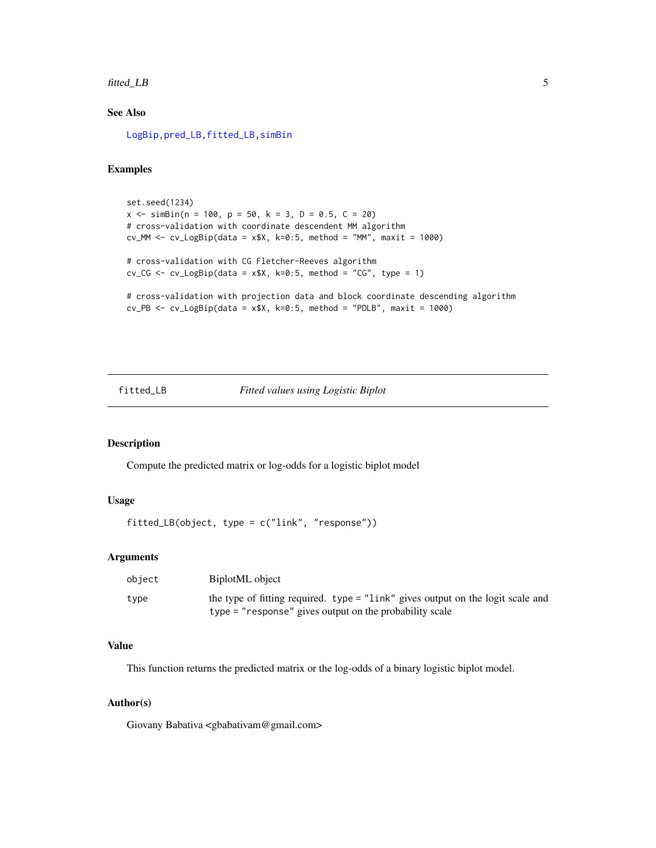#### <span id="page-4-0"></span>fitted\_LB 5

#### See Also

[LogBip](#page-6-1)[,pred\\_LB](#page-12-1)[,fitted\\_LB,](#page-4-1)[simBin](#page-15-1)

#### Examples

```
set.seed(1234)
x \le - \sin\frac{\pi}{n} = 100, p = 50, k = 3, D = 0.5, C = 20)
# cross-validation with coordinate descendent MM algorithm
cv_MM \leftarrow cv_LogBip(data = x*x, k=0:5, method = "MM", maxit = 1000)# cross-validation with CG Fletcher-Reeves algorithm
cv_CG \leq cv_LlogBip(data = x*x, k=0:5, method = "CG", type = 1)# cross-validation with projection data and block coordinate descending algorithm
cv_PB \leq cv_LlogBip(data = x*x, k=0:5, method = "PDLB", maxit = 1000)
```
#### <span id="page-4-1"></span>fitted\_LB *Fitted values using Logistic Biplot*

#### Description

Compute the predicted matrix or log-odds for a logistic biplot model

#### Usage

```
fitted_LB(object, type = c("link", "response"))
```
#### Arguments

| object | BiplotML object                                                                 |
|--------|---------------------------------------------------------------------------------|
| type   | the type of fitting required. type = "link" gives output on the logit scale and |
|        | $type = "response"$ gives output on the probability scale                       |

#### Value

This function returns the predicted matrix or the log-odds of a binary logistic biplot model.

#### Author(s)

Giovany Babativa <gbabativam@gmail.com>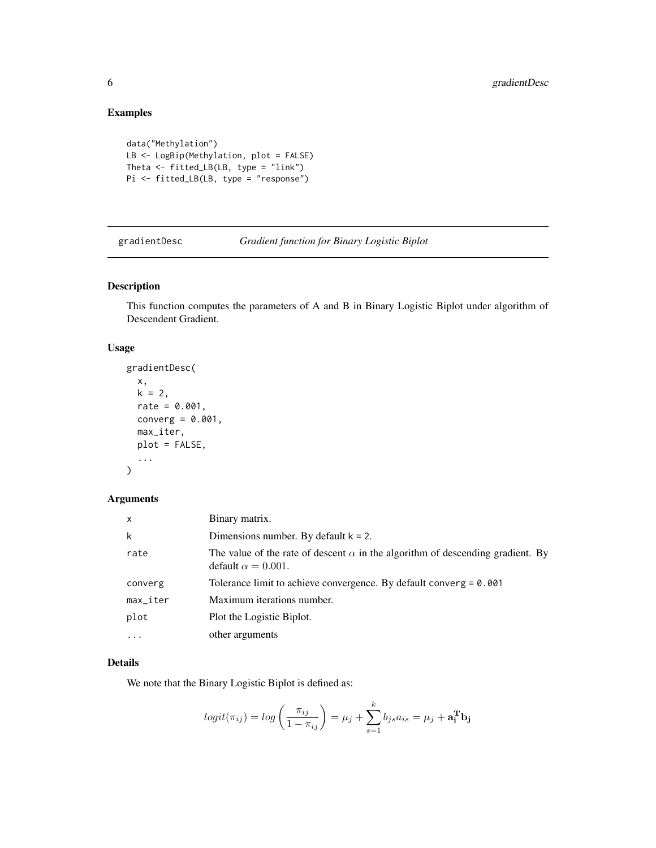#### Examples

```
data("Methylation")
LB <- LogBip(Methylation, plot = FALSE)
Theta <- fitted_LB(LB, type = "link")
Pi <- fitted_LB(LB, type = "response")
```
<span id="page-5-1"></span>

gradientDesc *Gradient function for Binary Logistic Biplot*

#### Description

This function computes the parameters of A and B in Binary Logistic Biplot under algorithm of Descendent Gradient.

#### Usage

```
gradientDesc(
 x,
 k = 2,rate = 0.001,
 converg = 0.001,
 max_iter,
 plot = FALSE,
  ...
)
```
#### Arguments

| $\mathsf{x}$              | Binary matrix.                                                                                                      |
|---------------------------|---------------------------------------------------------------------------------------------------------------------|
| k                         | Dimensions number. By default $k = 2$ .                                                                             |
| rate                      | The value of the rate of descent $\alpha$ in the algorithm of descending gradient. By<br>default $\alpha = 0.001$ . |
| converg                   | Tolerance limit to achieve convergence. By default converg $= 0.001$                                                |
| $max$ <sub>-</sub> $iter$ | Maximum iterations number.                                                                                          |
| plot                      | Plot the Logistic Biplot.                                                                                           |
| $\ddotsc$                 | other arguments                                                                                                     |

#### Details

We note that the Binary Logistic Biplot is defined as:

$$
logit(\pi_{ij}) = log\left(\frac{\pi_{ij}}{1 - \pi_{ij}}\right) = \mu_j + \sum_{s=1}^{k} b_{js} a_{is} = \mu_j + \mathbf{a_i^T b_j}
$$

<span id="page-5-0"></span>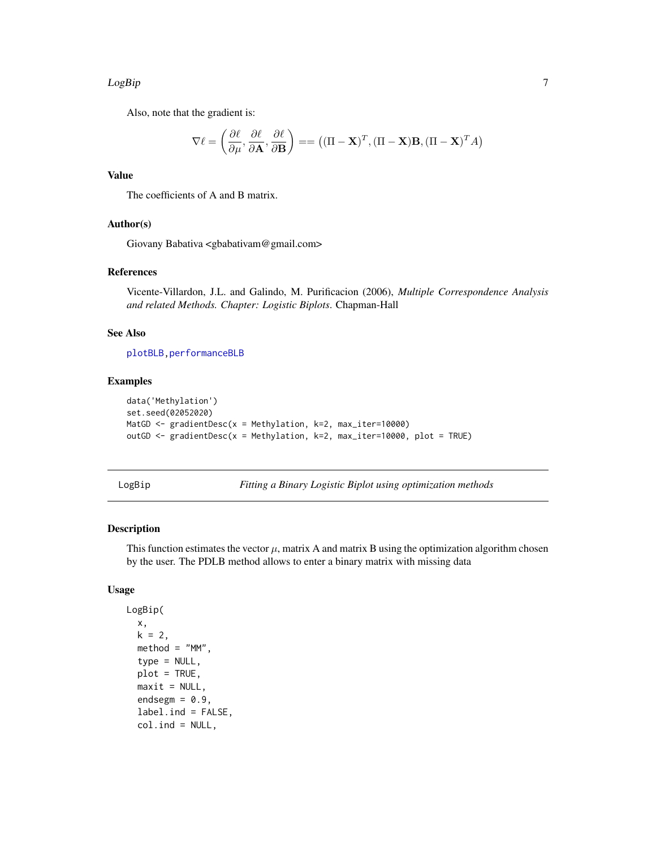#### <span id="page-6-0"></span>LogBip 7

Also, note that the gradient is:

$$
\nabla \ell = \left(\frac{\partial \ell}{\partial \mu}, \frac{\partial \ell}{\partial \mathbf{A}}, \frac{\partial \ell}{\partial \mathbf{B}}\right) = = \left((\Pi - \mathbf{X})^T, (\Pi - \mathbf{X})\mathbf{B}, (\Pi - \mathbf{X})^T A\right)
$$

#### Value

The coefficients of A and B matrix.

#### Author(s)

Giovany Babativa <gbabativam@gmail.com>

#### References

Vicente-Villardon, J.L. and Galindo, M. Purificacion (2006), *Multiple Correspondence Analysis and related Methods. Chapter: Logistic Biplots*. Chapman-Hall

#### See Also

[plotBLB](#page-11-1)[,performanceBLB](#page-9-1)

#### Examples

```
data('Methylation')
set.seed(02052020)
MatGD <- gradientDesc(x = Methylation, k=2, max_iter=10000)
outGD <- gradientDesc(x = Methylation, k=2, max_iter=10000, plot = TRUE)
```
<span id="page-6-1"></span>

LogBip *Fitting a Binary Logistic Biplot using optimization methods*

#### Description

This function estimates the vector  $\mu$ , matrix A and matrix B using the optimization algorithm chosen by the user. The PDLB method allows to enter a binary matrix with missing data

#### Usage

```
LogBip(
  x,
  k = 2,
  method = "MM",type = NULL,plot = TRUE,
  maxit = NULL,
  endsegm = 0.9,
  label.ind = FALSE,
  col.ind = NULL,
```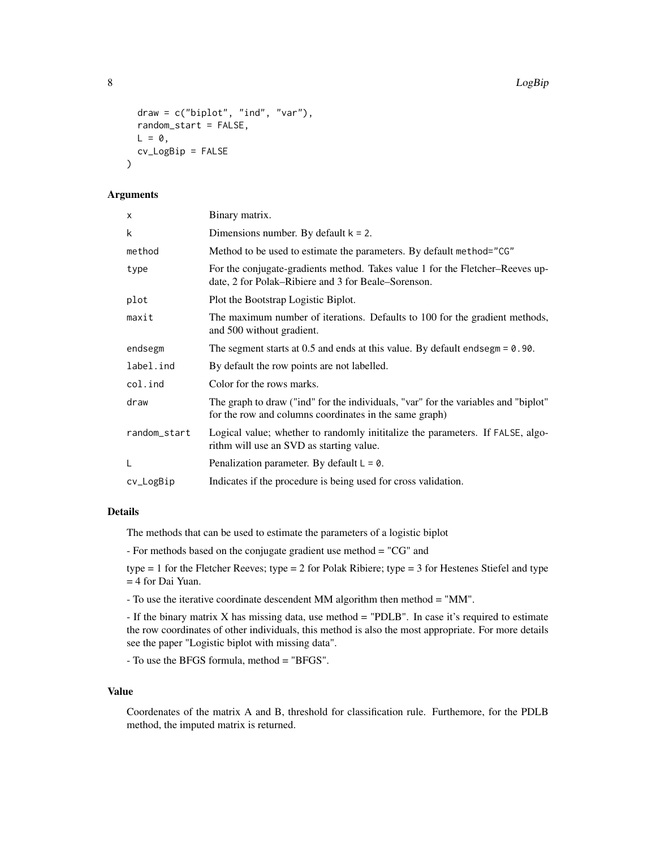8 Research of the contract of the contract of the contract of the contract of the contract of the contract of the contract of the contract of the contract of the contract of the contract of the contract of the contract of

```
draw = c("biplot", "ind", "var"),
random_start = FALSE,
L = 0,
cv_LogBip = FALSE
```
### Arguments

)

| x            | Binary matrix.                                                                                                                               |
|--------------|----------------------------------------------------------------------------------------------------------------------------------------------|
| k            | Dimensions number. By default $k = 2$ .                                                                                                      |
| method       | Method to be used to estimate the parameters. By default method="CG"                                                                         |
| type         | For the conjugate-gradients method. Takes value 1 for the Fletcher–Reeves up-<br>date, 2 for Polak–Ribiere and 3 for Beale–Sorenson.         |
| plot         | Plot the Bootstrap Logistic Biplot.                                                                                                          |
| maxit        | The maximum number of iterations. Defaults to 100 for the gradient methods,<br>and 500 without gradient.                                     |
| endsegm      | The segment starts at $0.5$ and ends at this value. By default endsegm = $0.90$ .                                                            |
| label.ind    | By default the row points are not labelled.                                                                                                  |
| col.ind      | Color for the rows marks.                                                                                                                    |
| draw         | The graph to draw ("ind" for the individuals, "var" for the variables and "biplot"<br>for the row and columns coordinates in the same graph) |
| random_start | Logical value; whether to randomly inititalize the parameters. If FALSE, algo-<br>rithm will use an SVD as starting value.                   |
| L            | Penalization parameter. By default $L = 0$ .                                                                                                 |
| cv_LogBip    | Indicates if the procedure is being used for cross validation.                                                                               |
|              |                                                                                                                                              |

#### Details

The methods that can be used to estimate the parameters of a logistic biplot

- For methods based on the conjugate gradient use method = "CG" and

type  $= 1$  for the Fletcher Reeves; type  $= 2$  for Polak Ribiere; type  $= 3$  for Hestenes Stiefel and type = 4 for Dai Yuan.

- To use the iterative coordinate descendent MM algorithm then method = "MM".

- If the binary matrix X has missing data, use method = "PDLB". In case it's required to estimate the row coordinates of other individuals, this method is also the most appropriate. For more details see the paper "Logistic biplot with missing data".

- To use the BFGS formula, method = "BFGS".

#### Value

Coordenates of the matrix A and B, threshold for classification rule. Furthemore, for the PDLB method, the imputed matrix is returned.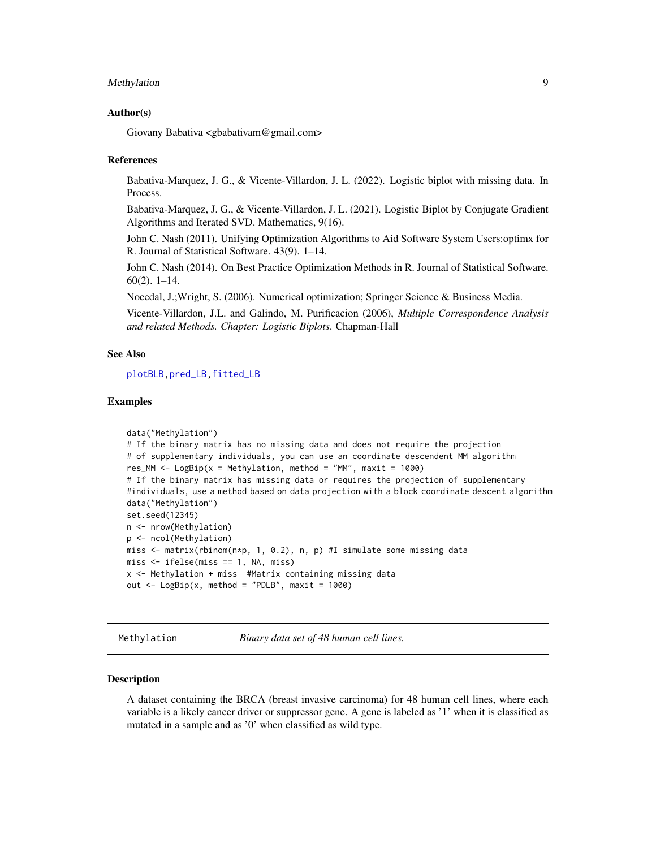#### <span id="page-8-0"></span>Methylation 9

#### Author(s)

Giovany Babativa <gbabativam@gmail.com>

#### References

Babativa-Marquez, J. G., & Vicente-Villardon, J. L. (2022). Logistic biplot with missing data. In Process.

Babativa-Marquez, J. G., & Vicente-Villardon, J. L. (2021). Logistic Biplot by Conjugate Gradient Algorithms and Iterated SVD. Mathematics, 9(16).

John C. Nash (2011). Unifying Optimization Algorithms to Aid Software System Users:optimx for R. Journal of Statistical Software. 43(9). 1–14.

John C. Nash (2014). On Best Practice Optimization Methods in R. Journal of Statistical Software. 60(2). 1–14.

Nocedal, J.;Wright, S. (2006). Numerical optimization; Springer Science & Business Media.

Vicente-Villardon, J.L. and Galindo, M. Purificacion (2006), *Multiple Correspondence Analysis and related Methods. Chapter: Logistic Biplots*. Chapman-Hall

#### See Also

[plotBLB](#page-11-1)[,pred\\_LB](#page-12-1)[,fitted\\_LB](#page-4-1)

#### Examples

```
data("Methylation")
# If the binary matrix has no missing data and does not require the projection
# of supplementary individuals, you can use an coordinate descendent MM algorithm
res_MM <- LogBip(x = Methylation, method = "MM", maxit = 1000)
# If the binary matrix has missing data or requires the projection of supplementary
#individuals, use a method based on data projection with a block coordinate descent algorithm
data("Methylation")
set.seed(12345)
n <- nrow(Methylation)
p <- ncol(Methylation)
miss <- matrix(rbinom(n*p, 1, 0.2), n, p) #I simulate some missing data
miss < - ifelse(miss == 1, NA, miss)
x <- Methylation + miss #Matrix containing missing data
out \leq LogBip(x, method = "PDLB", maxit = 1000)
```
Methylation *Binary data set of 48 human cell lines.*

#### Description

A dataset containing the BRCA (breast invasive carcinoma) for 48 human cell lines, where each variable is a likely cancer driver or suppressor gene. A gene is labeled as '1' when it is classified as mutated in a sample and as '0' when classified as wild type.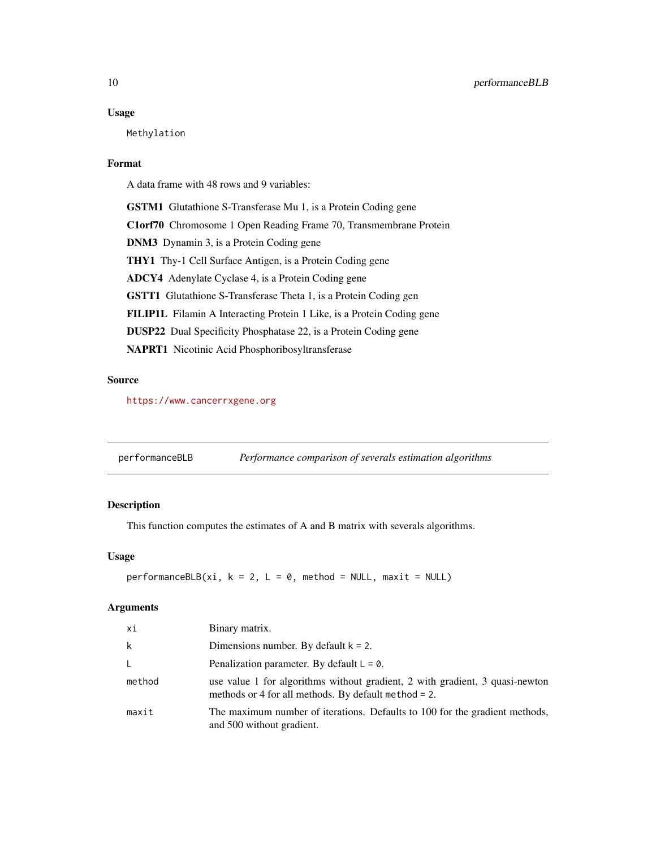#### <span id="page-9-0"></span>Usage

Methylation

#### Format

A data frame with 48 rows and 9 variables:

GSTM1 Glutathione S-Transferase Mu 1, is a Protein Coding gene C1orf70 Chromosome 1 Open Reading Frame 70, Transmembrane Protein DNM3 Dynamin 3, is a Protein Coding gene THY1 Thy-1 Cell Surface Antigen, is a Protein Coding gene ADCY4 Adenylate Cyclase 4, is a Protein Coding gene GSTT1 Glutathione S-Transferase Theta 1, is a Protein Coding gen FILIP1L Filamin A Interacting Protein 1 Like, is a Protein Coding gene DUSP22 Dual Specificity Phosphatase 22, is a Protein Coding gene NAPRT1 Nicotinic Acid Phosphoribosyltransferase

#### Source

<https://www.cancerrxgene.org>

<span id="page-9-1"></span>performanceBLB *Performance comparison of severals estimation algorithms*

#### Description

This function computes the estimates of A and B matrix with severals algorithms.

#### Usage

```
performanceBLB(xi, k = 2, L = 0, method = NULL, maxit = NULL)
```
#### Arguments

| хi     | Binary matrix.                                                                                                                          |
|--------|-----------------------------------------------------------------------------------------------------------------------------------------|
| k      | Dimensions number. By default $k = 2$ .                                                                                                 |
| L      | Penalization parameter. By default $L = 0$ .                                                                                            |
| method | use value 1 for algorithms without gradient, 2 with gradient, 3 quasi-newton<br>methods or 4 for all methods. By default method $= 2$ . |
| maxit  | The maximum number of iterations. Defaults to 100 for the gradient methods,<br>and 500 without gradient.                                |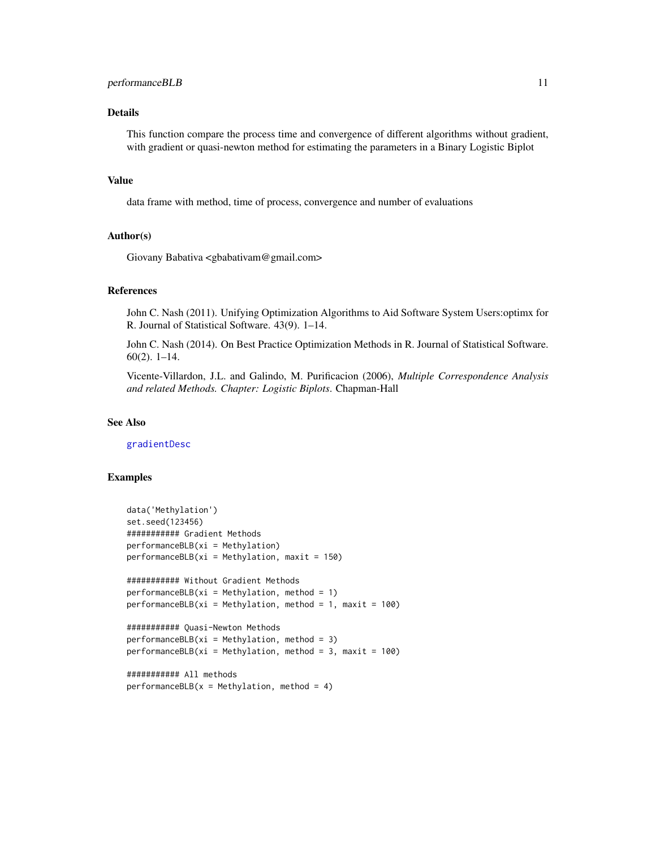#### <span id="page-10-0"></span>performanceBLB 11

#### Details

This function compare the process time and convergence of different algorithms without gradient, with gradient or quasi-newton method for estimating the parameters in a Binary Logistic Biplot

#### Value

data frame with method, time of process, convergence and number of evaluations

#### Author(s)

Giovany Babativa <gbabativam@gmail.com>

#### References

John C. Nash (2011). Unifying Optimization Algorithms to Aid Software System Users:optimx for R. Journal of Statistical Software. 43(9). 1–14.

John C. Nash (2014). On Best Practice Optimization Methods in R. Journal of Statistical Software. 60(2). 1–14.

Vicente-Villardon, J.L. and Galindo, M. Purificacion (2006), *Multiple Correspondence Analysis and related Methods. Chapter: Logistic Biplots*. Chapman-Hall

#### See Also

[gradientDesc](#page-5-1)

#### Examples

```
data('Methylation')
set.seed(123456)
########### Gradient Methods
performanceBLB(xi = Methylation)performanceBLB(xi = Methylation, maxit = 150)########### Without Gradient Methods
performanceBLB(xi = Methylation, method = 1)performanceBLB(xi = Methylation, method = 1, maxit = 100)########### Quasi-Newton Methods
performanceBLB(xi = Methylation, method = 3)performanceBLB(xi = Methylation, method = 3, maxit = 100)########### All methods
```

```
performanceBLB(x = Methylation, method = 4)
```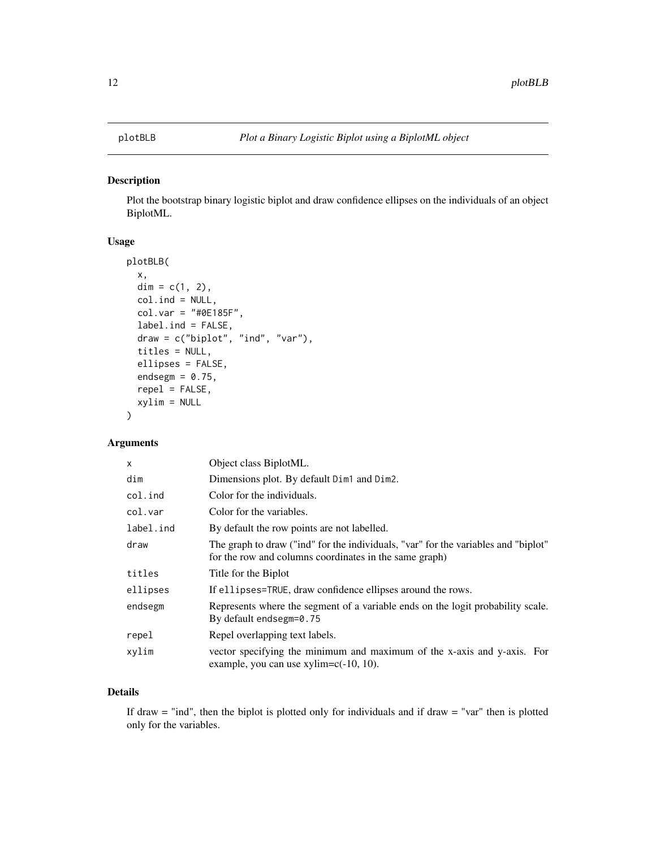#### <span id="page-11-1"></span><span id="page-11-0"></span>Description

Plot the bootstrap binary logistic biplot and draw confidence ellipses on the individuals of an object BiplotML.

#### Usage

```
plotBLB(
  x,
  dim = c(1, 2),
  col.ind = NULL,
  col.var = "#0E185F",
  label.ind = FALSE,
  draw = c("biplot", "ind", "var"),
  titles = NULL,
  ellipses = FALSE,
  endsegm = 0.75,
  repel = FALSE,
 xylim = NULL
)
```
#### Arguments

| X         | Object class BiplotML.                                                                                                                       |
|-----------|----------------------------------------------------------------------------------------------------------------------------------------------|
| dim       | Dimensions plot. By default Dim1 and Dim2.                                                                                                   |
| col.ind   | Color for the individuals.                                                                                                                   |
| col.var   | Color for the variables.                                                                                                                     |
| label.ind | By default the row points are not labelled.                                                                                                  |
| draw      | The graph to draw ("ind" for the individuals, "var" for the variables and "biplot"<br>for the row and columns coordinates in the same graph) |
| titles    | Title for the Biplot                                                                                                                         |
| ellipses  | If ellipses=TRUE, draw confidence ellipses around the rows.                                                                                  |
| endsegm   | Represents where the segment of a variable ends on the logit probability scale.<br>By default endsegm=0.75                                   |
| repel     | Repel overlapping text labels.                                                                                                               |
| xylim     | vector specifying the minimum and maximum of the x-axis and y-axis. For<br>example, you can use $xylim=c(-10, 10)$ .                         |

#### Details

If draw  $=$  "ind", then the biplot is plotted only for individuals and if draw  $=$  "var" then is plotted only for the variables.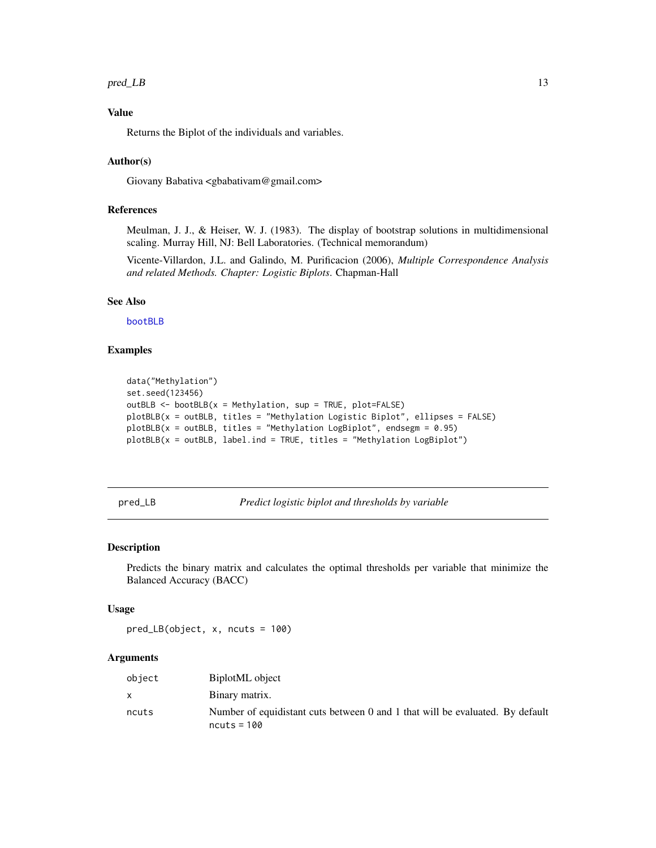#### <span id="page-12-0"></span>pred\_LB 13

#### Value

Returns the Biplot of the individuals and variables.

#### Author(s)

Giovany Babativa <gbabativam@gmail.com>

#### References

Meulman, J. J., & Heiser, W. J. (1983). The display of bootstrap solutions in multidimensional scaling. Murray Hill, NJ: Bell Laboratories. (Technical memorandum)

Vicente-Villardon, J.L. and Galindo, M. Purificacion (2006), *Multiple Correspondence Analysis and related Methods. Chapter: Logistic Biplots*. Chapman-Hall

#### See Also

[bootBLB](#page-1-1)

#### Examples

```
data("Methylation")
set.seed(123456)
outBLB <- bootBLB(x = Methylation, sup = TRUE, plot=FALSE)
plotBLB(x = outBLB, titles = "Methylation Logistic Biplot", ellipses = FALSE)
plotBLB(x = outBLB, titles = "Method to LogBiplot", endsegm = 0.95)plotBLB(x = outBLB, label.ind = TRUE, titles = "Methylation LogBiplot")
```
<span id="page-12-1"></span>pred\_LB *Predict logistic biplot and thresholds by variable*

#### Description

Predicts the binary matrix and calculates the optimal thresholds per variable that minimize the Balanced Accuracy (BACC)

#### Usage

pred\_LB(object, x, ncuts = 100)

#### Arguments

| object | BiplotML object                                                                                |
|--------|------------------------------------------------------------------------------------------------|
|        | Binary matrix.                                                                                 |
| ncuts  | Number of equidistant cuts between 0 and 1 that will be evaluated. By default<br>$ncuts = 100$ |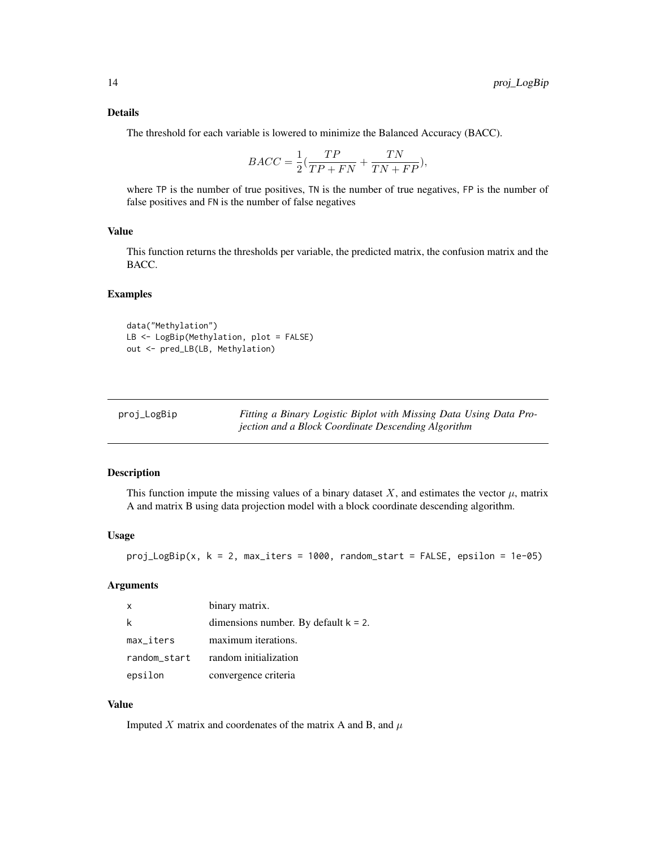#### <span id="page-13-0"></span>Details

The threshold for each variable is lowered to minimize the Balanced Accuracy (BACC).

$$
BACC = \frac{1}{2}(\frac{TP}{TP + FN} + \frac{TN}{TN + FP}),
$$

where TP is the number of true positives, TN is the number of true negatives, FP is the number of false positives and FN is the number of false negatives

#### Value

This function returns the thresholds per variable, the predicted matrix, the confusion matrix and the BACC.

#### Examples

data("Methylation") LB <- LogBip(Methylation, plot = FALSE) out <- pred\_LB(LB, Methylation)

| proj_LogBip | Fitting a Binary Logistic Biplot with Missing Data Using Data Pro- |
|-------------|--------------------------------------------------------------------|
|             | jection and a Block Coordinate Descending Algorithm                |

#### Description

This function impute the missing values of a binary dataset X, and estimates the vector  $\mu$ , matrix A and matrix B using data projection model with a block coordinate descending algorithm.

#### Usage

 $proj\_LogBip(x, k = 2, max\_iters = 1000, random\_start = FALSE, epsilon = 1e-05)$ 

#### Arguments

| $\mathsf{X}$ | binary matrix.                          |
|--------------|-----------------------------------------|
|              | dimensions number. By default $k = 2$ . |
| $max\_iters$ | maximum iterations.                     |
| random_start | random initialization                   |
| epsilon      | convergence criteria                    |

#### Value

Imputed X matrix and coordenates of the matrix A and B, and  $\mu$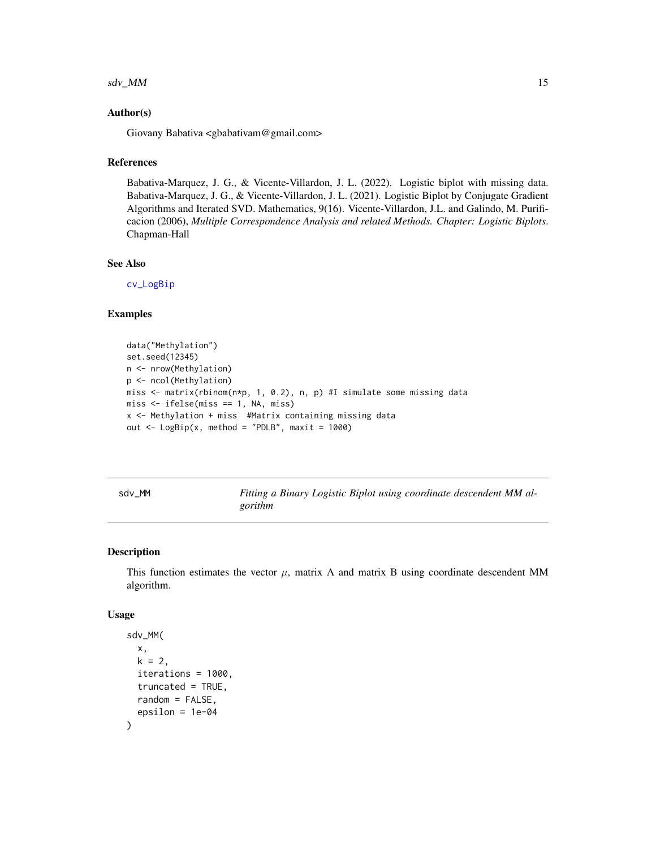#### <span id="page-14-0"></span> $sdv_M$ M 15

#### Author(s)

Giovany Babativa <gbabativam@gmail.com>

#### References

Babativa-Marquez, J. G., & Vicente-Villardon, J. L. (2022). Logistic biplot with missing data. Babativa-Marquez, J. G., & Vicente-Villardon, J. L. (2021). Logistic Biplot by Conjugate Gradient Algorithms and Iterated SVD. Mathematics, 9(16). Vicente-Villardon, J.L. and Galindo, M. Purificacion (2006), *Multiple Correspondence Analysis and related Methods. Chapter: Logistic Biplots*. Chapman-Hall

#### See Also

[cv\\_LogBip](#page-3-1)

#### Examples

```
data("Methylation")
set.seed(12345)
n <- nrow(Methylation)
p <- ncol(Methylation)
miss <- matrix(rbinom(n*p, 1, 0.2), n, p) #I simulate some missing data
miss < - ifelse(miss == 1, NA, miss)
x <- Methylation + miss #Matrix containing missing data
out \leq LogBip(x, method = "PDLB", maxit = 1000)
```
sdv\_MM *Fitting a Binary Logistic Biplot using coordinate descendent MM algorithm*

#### Description

This function estimates the vector  $\mu$ , matrix A and matrix B using coordinate descendent MM algorithm.

#### Usage

```
sdv_MM(
 x,
 k = 2,
  iterations = 1000,
  truncated = TRUE,
  random = FALSE,
  epsilon = 1e-04
)
```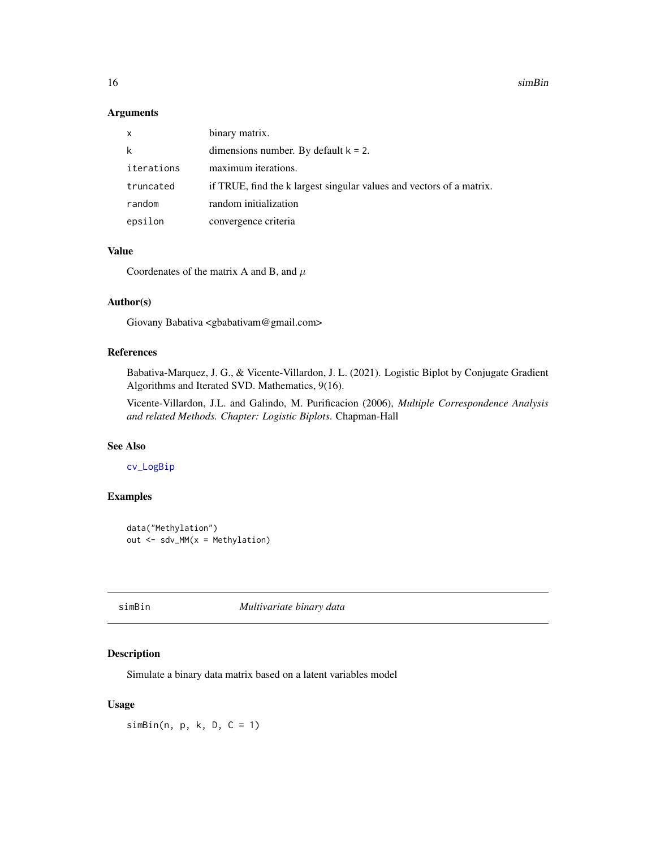#### <span id="page-15-0"></span>Arguments

| x          | binary matrix.                                                       |
|------------|----------------------------------------------------------------------|
| k          | dimensions number. By default $k = 2$ .                              |
| iterations | maximum iterations.                                                  |
| truncated  | if TRUE, find the k largest singular values and vectors of a matrix. |
| random     | random initialization                                                |
| epsilon    | convergence criteria                                                 |

#### Value

Coordenates of the matrix A and B, and  $\mu$ 

#### Author(s)

Giovany Babativa <gbabativam@gmail.com>

#### References

Babativa-Marquez, J. G., & Vicente-Villardon, J. L. (2021). Logistic Biplot by Conjugate Gradient Algorithms and Iterated SVD. Mathematics, 9(16).

Vicente-Villardon, J.L. and Galindo, M. Purificacion (2006), *Multiple Correspondence Analysis and related Methods. Chapter: Logistic Biplots*. Chapman-Hall

#### See Also

[cv\\_LogBip](#page-3-1)

#### Examples

```
data("Methylation")
out \leq sdv_MM(x = Methylation)
```
<span id="page-15-1"></span>

simBin *Multivariate binary data*

#### Description

Simulate a binary data matrix based on a latent variables model

#### Usage

 $simBin(n, p, k, D, C = 1)$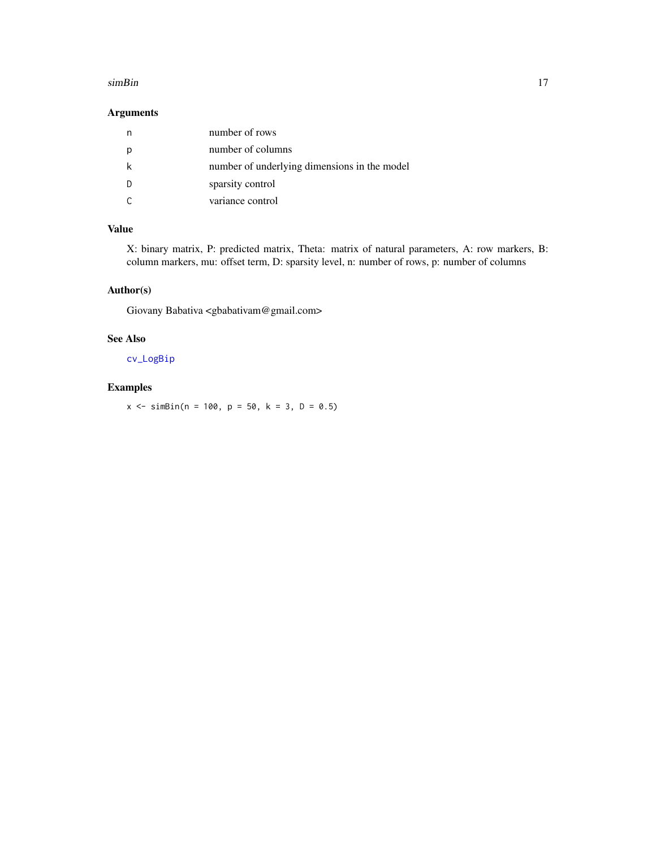#### <span id="page-16-0"></span>simBin the state of the state of the state of the state of the state of the state of the state of the state of the state of the state of the state of the state of the state of the state of the state of the state of the sta

#### Arguments

| number of rows                               |
|----------------------------------------------|
| number of columns                            |
| number of underlying dimensions in the model |
| sparsity control                             |
| variance control                             |

#### Value

X: binary matrix, P: predicted matrix, Theta: matrix of natural parameters, A: row markers, B: column markers, mu: offset term, D: sparsity level, n: number of rows, p: number of columns

#### Author(s)

Giovany Babativa <gbabativam@gmail.com>

#### See Also

[cv\\_LogBip](#page-3-1)

#### Examples

 $x \le - \sin\theta \sin(n = 100, p = 50, k = 3, D = 0.5)$